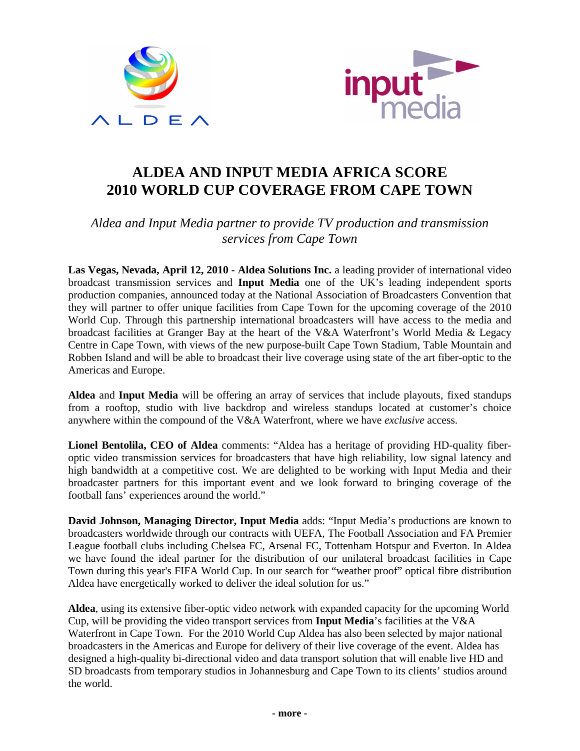



# **ALDEA AND INPUT MEDIA AFRICA SCORE 2010 WORLD CUP COVERAGE FROM CAPE TOWN**

# *Aldea and Input Media partner to provide TV production and transmission services from Cape Town*

**Las Vegas, Nevada, April 12, 2010 - Aldea Solutions Inc.** a leading provider of international video broadcast transmission services and **Input Media** one of the UK's leading independent sports production companies, announced today at the National Association of Broadcasters Convention that they will partner to offer unique facilities from Cape Town for the upcoming coverage of the 2010 World Cup. Through this partnership international broadcasters will have access to the media and broadcast facilities at Granger Bay at the heart of the V&A Waterfront's World Media & Legacy Centre in Cape Town, with views of the new purpose-built Cape Town Stadium, Table Mountain and Robben Island and will be able to broadcast their live coverage using state of the art fiber-optic to the Americas and Europe.

**Aldea** and **Input Media** will be offering an array of services that include playouts, fixed standups from a rooftop, studio with live backdrop and wireless standups located at customer's choice anywhere within the compound of the V&A Waterfront, where we have *exclusive* access.

**Lionel Bentolila, CEO of Aldea** comments: "Aldea has a heritage of providing HD-quality fiberoptic video transmission services for broadcasters that have high reliability, low signal latency and high bandwidth at a competitive cost. We are delighted to be working with Input Media and their broadcaster partners for this important event and we look forward to bringing coverage of the football fans' experiences around the world."

**David Johnson, Managing Director, Input Media** adds: "Input Media's productions are known to broadcasters worldwide through our contracts with UEFA, The Football Association and FA Premier League football clubs including Chelsea FC, Arsenal FC, Tottenham Hotspur and Everton. In Aldea we have found the ideal partner for the distribution of our unilateral broadcast facilities in Cape Town during this year's FIFA World Cup. In our search for "weather proof" optical fibre distribution Aldea have energetically worked to deliver the ideal solution for us."

**Aldea**, using its extensive fiber-optic video network with expanded capacity for the upcoming World Cup, will be providing the video transport services from **Input Media**'s facilities at the V&A Waterfront in Cape Town. For the 2010 World Cup Aldea has also been selected by major national broadcasters in the Americas and Europe for delivery of their live coverage of the event. Aldea has designed a high-quality bi-directional video and data transport solution that will enable live HD and SD broadcasts from temporary studios in Johannesburg and Cape Town to its clients' studios around the world.